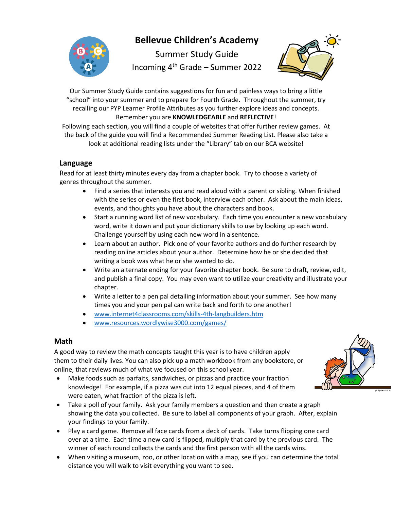

# **Bellevue Children's Academy**

Summer Study Guide Incoming 4th Grade – Summer 2022



Our Summer Study Guide contains suggestions for fun and painless ways to bring a little "school" into your summer and to prepare for Fourth Grade. Throughout the summer, try recalling our PYP Learner Profile Attributes as you further explore ideas and concepts. Remember you are **KNOWLEDGEABLE** and **REFLECTIVE**!

Following each section, you will find a couple of websites that offer further review games. At the back of the guide you will find a Recommended Summer Reading List. Please also take a look at additional reading lists under the "Library" tab on our BCA website!

### **Language**

Read for at least thirty minutes every day from a chapter book. Try to choose a variety of genres throughout the summer.

- Find a series that interests you and read aloud with a parent or sibling. When finished with the series or even the first book, interview each other. Ask about the main ideas, events, and thoughts you have about the characters and book.
- Start a running word list of new vocabulary. Each time you encounter a new vocabulary word, write it down and put your dictionary skills to use by looking up each word. Challenge yourself by using each new word in a sentence.
- Learn about an author. Pick one of your favorite authors and do further research by reading online articles about your author. Determine how he or she decided that writing a book was what he or she wanted to do.
- Write an alternate ending for your favorite chapter book. Be sure to draft, review, edit, and publish a final copy. You may even want to utilize your creativity and illustrate your chapter.
- Write a letter to a pen pal detailing information about your summer. See how many times you and your pen pal can write back and forth to one another!
- [www.internet4classrooms.com/skills-4th-langbuilders.htm](http://www.internet4classrooms.com/skills-4th-langbuilders.htm)
- [www.resources.wordlywise3000.com/games/](http://www.resources.wordlywise3000.com/games/)

### **Math**

A good way to review the math concepts taught this year is to have children apply them to their daily lives. You can also pick up a math workbook from any bookstore, or online, that reviews much of what we focused on this school year.

- Make foods such as parfaits, sandwiches, or pizzas and practice your fraction knowledge! For example, if a pizza was cut into 12 equal pieces, and 4 of them were eaten, what fraction of the pizza is left.
- Take a poll of your family. Ask your family members a question and then create a graph showing the data you collected. Be sure to label all components of your graph. After, explain your findings to your family.
- Play a card game. Remove all face cards from a deck of cards. Take turns flipping one card over at a time. Each time a new card is flipped, multiply that card by the previous card. The winner of each round collects the cards and the first person with all the cards wins.
- When visiting a museum, zoo, or other location with a map, see if you can determine the total distance you will walk to visit everything you want to see.

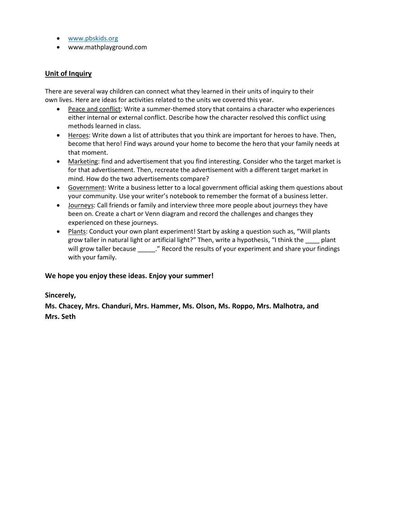- [www.pbskids.org](http://www.pbskids.org/)
- www.mathplayground.com

#### **Unit of Inquiry**

There are several way children can connect what they learned in their units of inquiry to their own lives. Here are ideas for activities related to the units we covered this year.

- Peace and conflict: Write a summer-themed story that contains a character who experiences either internal or external conflict. Describe how the character resolved this conflict using methods learned in class.
- Heroes: Write down a list of attributes that you think are important for heroes to have. Then, become that hero! Find ways around your home to become the hero that your family needs at that moment.
- Marketing: find and advertisement that you find interesting. Consider who the target market is for that advertisement. Then, recreate the advertisement with a different target market in mind. How do the two advertisements compare?
- Government: Write a business letter to a local government official asking them questions about your community. Use your writer's notebook to remember the format of a business letter.
- Journeys: Call friends or family and interview three more people about journeys they have been on. Create a chart or Venn diagram and record the challenges and changes they experienced on these journeys.
- Plants: Conduct your own plant experiment! Start by asking a question such as, "Will plants grow taller in natural light or artificial light?" Then, write a hypothesis, "I think the \_\_\_\_ plant will grow taller because \_\_\_\_\_." Record the results of your experiment and share your findings with your family.

#### **We hope you enjoy these ideas. Enjoy your summer!**

#### **Sincerely,**

**Ms. Chacey, Mrs. Chanduri, Mrs. Hammer, Ms. Olson, Ms. Roppo, Mrs. Malhotra, and Mrs. Seth**